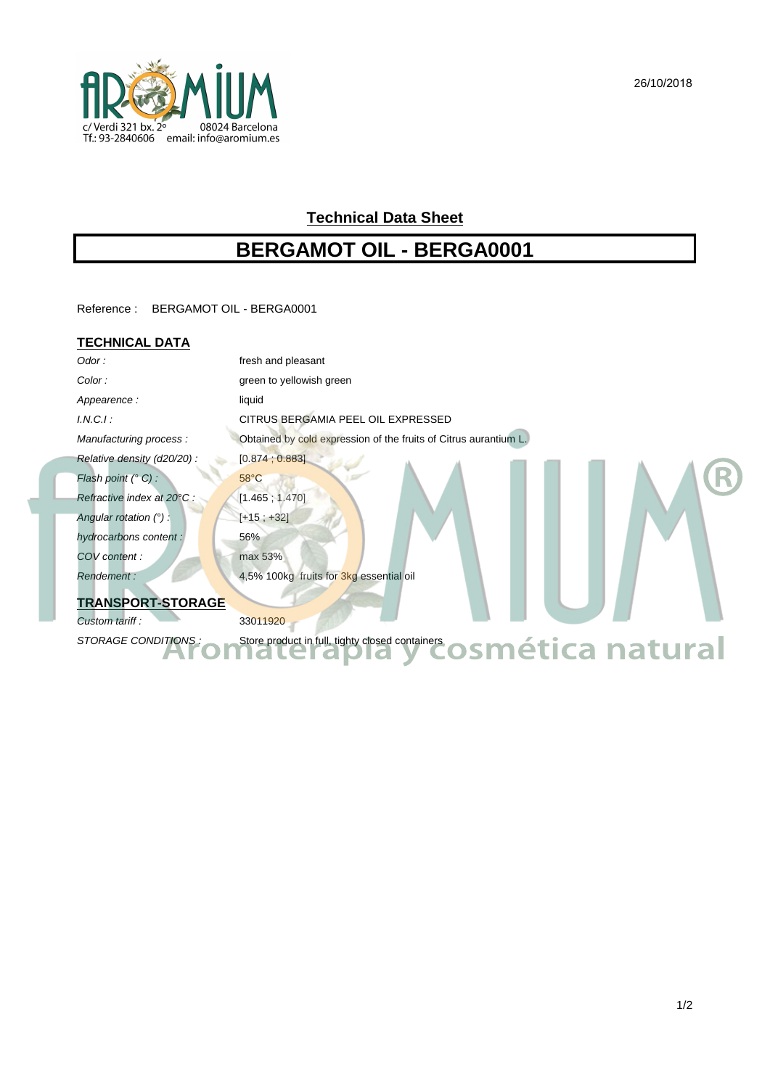

## **Technical Data Sheet**

# **BERGAMOT OIL - BERGA0001**

Reference : BERGAMOT OIL - BERGA0001

### **TECHNICAL DATA**

| Odor:                      | fresh and pleasant                                                        |
|----------------------------|---------------------------------------------------------------------------|
| Color:                     | green to yellowish green                                                  |
| Appearence:                | liquid                                                                    |
| $I.N.C.I$ :                | CITRUS BERGAMIA PEEL OIL EXPRESSED                                        |
| Manufacturing process:     | Obtained by cold expression of the fruits of Citrus aurantium L.          |
| Relative density (d20/20): | [0.874, 0.883]                                                            |
| Flash point (° C) :        | $58^{\circ}$ C                                                            |
| Refractive index at 20°C : | [1.465; 1.470]                                                            |
| Angular rotation $(°)$ :   | $[+15; +32]$                                                              |
| hydrocarbons content:      | 56%                                                                       |
| COV content:               | max 53%                                                                   |
| Rendement:                 | 4,5% 100kg fruits for 3kg essential oil                                   |
| <b>TRANSPORT-STORAGE</b>   |                                                                           |
| Custom tariff:             | 33011920                                                                  |
| STORAGE CONDITIONS:        | Store product in full, tighty closed containers cosent exactlocan natural |